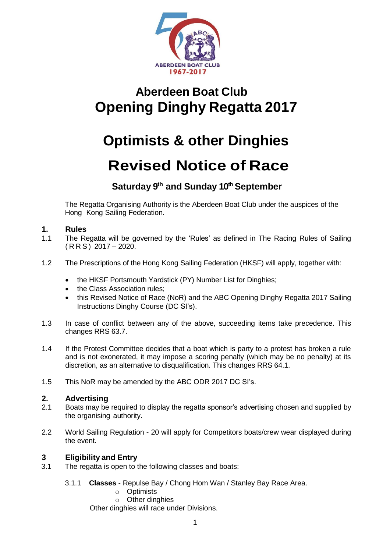

# **Aberdeen Boat Club Opening Dinghy Regatta 2017**

# **Optimists & other Dinghies Revised Notice of Race**

### **Saturday 9 th and Sunday 10thSeptember**

The Regatta Organising Authority is the Aberdeen Boat Club under the auspices of the Hong Kong Sailing Federation.

#### **1. Rules**

- 1.1 The Regatta will be governed by the 'Rules' as defined in The Racing Rules of Sailing  $(RRS)$  2017 – 2020.
- 1.2 The Prescriptions of the Hong Kong Sailing Federation (HKSF) will apply, together with:
	- the HKSF Portsmouth Yardstick (PY) Number List for Dinghies;
	- the Class Association rules;
	- this Revised Notice of Race (NoR) and the ABC Opening Dinghy Regatta 2017 Sailing Instructions Dinghy Course (DC SI's).
- 1.3 In case of conflict between any of the above, succeeding items take precedence. This changes RRS 63.7.
- 1.4 If the Protest Committee decides that a boat which is party to a protest has broken a rule and is not exonerated, it may impose a scoring penalty (which may be no penalty) at its discretion, as an alternative to disqualification. This changes RRS 64.1.
- 1.5 This NoR may be amended by the ABC ODR 2017 DC SI's.

#### **2. Advertising**

- 2.1 Boats may be required to display the regatta sponsor's advertising chosen and supplied by the organising authority.
- 2.2 World Sailing Regulation 20 will apply for Competitors boats/crew wear displayed during the event.

#### **3 Eligibility and Entry**

- 3.1 The regatta is open to the following classes and boats:
	- 3.1.1 **Classes**  Repulse Bay / Chong Hom Wan / Stanley Bay Race Area.
		- o Optimists
			- o Other dinghies

Other dinghies will race under Divisions.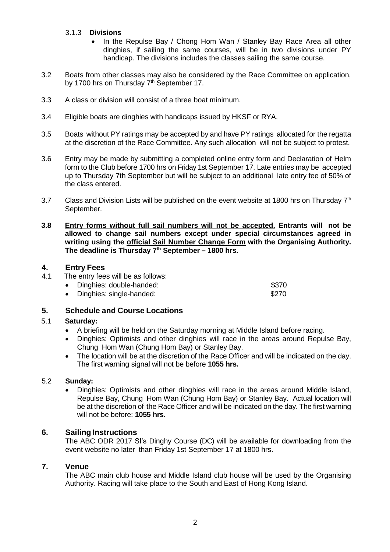#### 3.1.3 **Divisions**

- In the Repulse Bay / Chong Hom Wan / Stanley Bay Race Area all other dinghies, if sailing the same courses, will be in two divisions under PY handicap. The divisions includes the classes sailing the same course.
- 3.2 Boats from other classes may also be considered by the Race Committee on application, by 1700 hrs on Thursday  $7<sup>th</sup>$  September 17.
- 3.3 A class or division will consist of a three boat minimum.
- 3.4 Eligible boats are dinghies with handicaps issued by HKSF or RYA.
- 3.5 Boats without PY ratings may be accepted by and have PY ratings allocated for the regatta at the discretion of the Race Committee. Any such allocation will not be subject to protest.
- 3.6 Entry may be made by submitting a completed online entry form and Declaration of Helm form to the Club before 1700 hrs on Friday 1st September 17. Late entries may be accepted up to Thursday 7th September but will be subject to an additional late entry fee of 50% of the class entered.
- 3.7 Class and Division Lists will be published on the event website at 1800 hrs on Thursday  $7<sup>th</sup>$ September.
- **3.8 Entry forms without full sail numbers will not be accepted. Entrants will not be allowed to change sail numbers except under special circumstances agreed in writing using the official Sail Number Change Form with the Organising Authority. The deadline is Thursday 7 th September – 1800 hrs.**

## **4. Entry Fees**

The entry fees will be as follows:

| Dinghies: double-handed: | \$370 |
|--------------------------|-------|
| Dinghies: single-handed: | \$270 |

#### **5. Schedule and Course Locations**

#### 5.1 **Saturday:**

- A briefing will be held on the Saturday morning at Middle Island before racing.
- Dinghies: Optimists and other dinghies will race in the areas around Repulse Bay, Chung Hom Wan (Chung Hom Bay) or Stanley Bay.
- The location will be at the discretion of the Race Officer and will be indicated on the day. The first warning signal will not be before **1055 hrs.**

#### 5.2 **Sunday:**

 Dinghies: Optimists and other dinghies will race in the areas around Middle Island, Repulse Bay, Chung Hom Wan (Chung Hom Bay) or Stanley Bay. Actual location will be at the discretion of the Race Officer and will be indicated on the day. The first warning will not be before: **1055 hrs.**

#### **6. Sailing Instructions**

The ABC ODR 2017 SI's Dinghy Course (DC) will be available for downloading from the event website no later than Friday 1st September 17 at 1800 hrs.

#### **7. Venue**

The ABC main club house and Middle Island club house will be used by the Organising Authority. Racing will take place to the South and East of Hong Kong Island.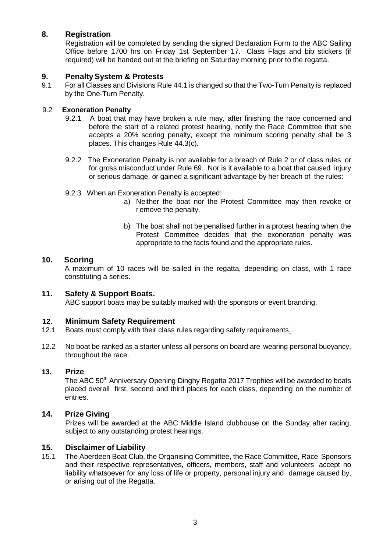#### **8. Registration**

Registration will be completed by sending the signed Declaration Form to the ABC Sailing Office before 1700 hrs on Friday 1st September 17. Class Flags and bib stickers (if required) will be handed out at the briefing on Saturday morning prior to the regatta.

#### **9. PenaltySystem & Protests**

9.1 For all Classes and Divisions Rule 44.1 is changed so that the Two-Turn Penalty is replaced by the One-Turn Penalty.

#### 9.2 **Exoneration Penalty**

- 9.2.1 A boat that may have broken a rule may, after finishing the race concerned and before the start of a related protest hearing, notify the Race Committee that she accepts a 20% scoring penalty, except the minimum scoring penalty shall be 3 places. This changes Rule 44.3(c).
- 9.2.2 The Exoneration Penalty is not available for a breach of Rule 2 or of class rules or for gross misconduct under Rule 69. Nor is it available to a boat that caused injury or serious damage, or gained a significant advantage by her breach of the rules:
- 9.2.3 When an Exoneration Penalty is accepted:
	- a) Neither the boat nor the Protest Committee may then revoke or r emove the penalty.
	- b) The boat shall not be penalised further in a protest hearing when the Protest Committee decides that the exoneration penalty was appropriate to the facts found and the appropriate rules.

#### **10. Scoring**

A maximum of 10 races will be sailed in the regatta, depending on class, with 1 race constituting a series.

### **11. Safety & Support Boats.**

ABC support boats may be suitably marked with the sponsors or event branding.

#### **12. Minimum Safety Requirement**

- 12.1 Boats must comply with their class rules regarding safety requirements.
- 12.2 No boat be ranked as a starter unless all persons on board are wearing personal buoyancy, throughout the race.

#### **13. Prize**

The ABC 50<sup>th</sup> Anniversary Opening Dinghy Regatta 2017 Trophies will be awarded to boats placed overall first, second and third places for each class, depending on the number of entries.

#### **14. Prize Giving**

Prizes will be awarded at the ABC Middle Island clubhouse on the Sunday after racing, subject to any outstanding protest hearings.

#### **15. Disclaimer of Liability**

15.1 The Aberdeen Boat Club, the Organising Committee, the Race Committee, Race Sponsors and their respective representatives, officers, members, staff and volunteers accept no liability whatsoever for any loss of life or property, personal injury and damage caused by, or arising out of the Regatta.